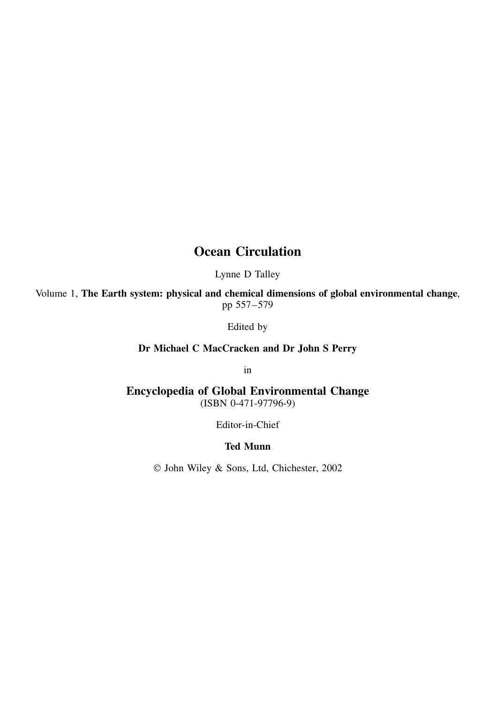# **Ocean Circulation**

Lynne D Talley

Volume 1, **The Earth system: physical and chemical dimensions of global environmental change**, pp 557–579

Edited by

**Dr Michael C MacCracken and Dr John S Perry**

in

**Encyclopedia of Global Environmental Change** (ISBN 0-471-97796-9)

Editor-in-Chief

### **Ted Munn**

John Wiley & Sons, Ltd, Chichester, 2002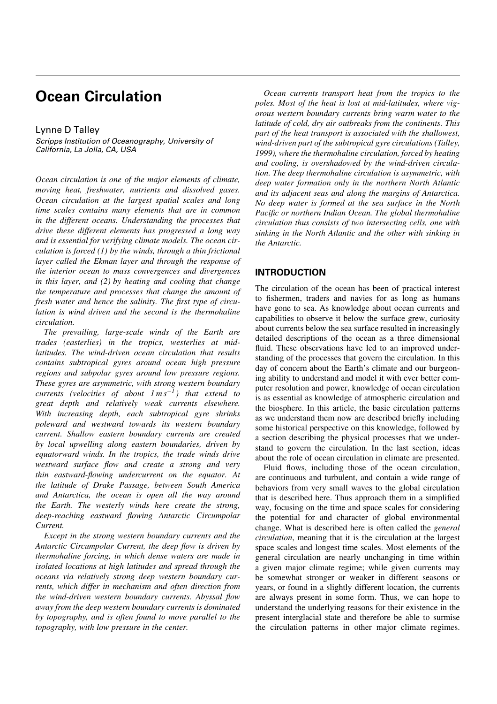# **Ocean Circulation**

#### Lynne D Talley

Scripps Institution of Oceanography, University of California, La Jolla, CA, USA

*Ocean circulation is one of the major elements of climate, moving heat, freshwater, nutrients and dissolved gases. Ocean circulation at the largest spatial scales and long time scales contains many elements that are in common in the different oceans. Understanding the processes that drive these different elements has progressed a long way and is essential for verifying climate models. The ocean circulation is forced (1) by the winds, through a thin frictional layer called the Ekman layer and through the response of the interior ocean to mass convergences and divergences in this layer, and (2) by heating and cooling that change the temperature and processes that change the amount of fresh water and hence the salinity. The first type of circulation is wind driven and the second is the thermohaline circulation.*

*The prevailing, large-scale winds of the Earth are trades (easterlies) in the tropics, westerlies at midlatitudes. The wind-driven ocean circulation that results contains subtropical gyres around ocean high pressure regions and subpolar gyres around low pressure regions. These gyres are asymmetric, with strong western boundary currents (velocities of about*  $1 \text{ m s}^{-1}$ *) that extend to great depth and relatively weak currents elsewhere. With increasing depth, each subtropical gyre shrinks poleward and westward towards its western boundary current. Shallow eastern boundary currents are created by local upwelling along eastern boundaries, driven by equatorward winds. In the tropics, the trade winds drive westward surface flow and create a strong and very thin eastward-flowing undercurrent on the equator. At the latitude of Drake Passage, between South America and Antarctica, the ocean is open all the way around the Earth. The westerly winds here create the strong, deep-reaching eastward flowing Antarctic Circumpolar Current.*

*Except in the strong western boundary currents and the Antarctic Circumpolar Current, the deep flow is driven by thermohaline forcing, in which dense waters are made in isolated locations at high latitudes and spread through the oceans via relatively strong deep western boundary currents, which differ in mechanism and often direction from the wind-driven western boundary currents. Abyssal flow away from the deep western boundary currents is dominated by topography, and is often found to move parallel to the topography, with low pressure in the center.*

*Ocean currents transport heat from the tropics to the poles. Most of the heat is lost at mid-latitudes, where vigorous western boundary currents bring warm water to the latitude of cold, dry air outbreaks from the continents. This part of the heat transport is associated with the shallowest, wind-driven part of the subtropical gyre circulations (Talley, 1999), where the thermohaline circulation, forced by heating and cooling, is overshadowed by the wind-driven circulation. The deep thermohaline circulation is asymmetric, with deep water formation only in the northern North Atlantic and its adjacent seas and along the margins of Antarctica. No deep water is formed at the sea surface in the North Pacific or northern Indian Ocean. The global thermohaline circulation thus consists of two intersecting cells, one with sinking in the North Atlantic and the other with sinking in the Antarctic.*

#### **INTRODUCTION**

The circulation of the ocean has been of practical interest to fishermen, traders and navies for as long as humans have gone to sea. As knowledge about ocean currents and capabilities to observe it below the surface grew, curiosity about currents below the sea surface resulted in increasingly detailed descriptions of the ocean as a three dimensional fluid. These observations have led to an improved understanding of the processes that govern the circulation. In this day of concern about the Earth's climate and our burgeoning ability to understand and model it with ever better computer resolution and power, knowledge of ocean circulation is as essential as knowledge of atmospheric circulation and the biosphere. In this article, the basic circulation patterns as we understand them now are described briefly including some historical perspective on this knowledge, followed by a section describing the physical processes that we understand to govern the circulation. In the last section, ideas about the role of ocean circulation in climate are presented.

Fluid flows, including those of the ocean circulation, are continuous and turbulent, and contain a wide range of behaviors from very small waves to the global circulation that is described here. Thus approach them in a simplified way, focusing on the time and space scales for considering the potential for and character of global environmental change. What is described here is often called the *general circulation*, meaning that it is the circulation at the largest space scales and longest time scales. Most elements of the general circulation are nearly unchanging in time within a given major climate regime; while given currents may be somewhat stronger or weaker in different seasons or years, or found in a slightly different location, the currents are always present in some form. Thus, we can hope to understand the underlying reasons for their existence in the present interglacial state and therefore be able to surmise the circulation patterns in other major climate regimes.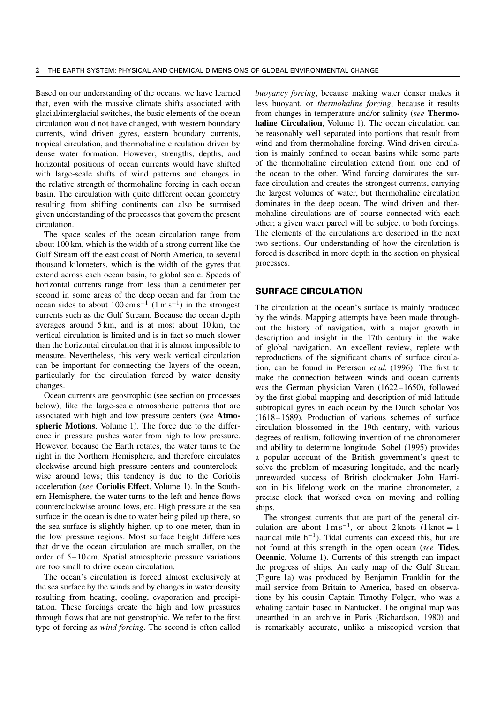Based on our understanding of the oceans, we have learned that, even with the massive climate shifts associated with glacial/interglacial switches, the basic elements of the ocean circulation would not have changed, with western boundary currents, wind driven gyres, eastern boundary currents, tropical circulation, and thermohaline circulation driven by dense water formation. However, strengths, depths, and horizontal positions of ocean currents would have shifted with large-scale shifts of wind patterns and changes in the relative strength of thermohaline forcing in each ocean basin. The circulation with quite different ocean geometry resulting from shifting continents can also be surmised given understanding of the processes that govern the present circulation.

The space scales of the ocean circulation range from about 100 km, which is the width of a strong current like the Gulf Stream off the east coast of North America, to several thousand kilometers, which is the width of the gyres that extend across each ocean basin, to global scale. Speeds of horizontal currents range from less than a centimeter per second in some areas of the deep ocean and far from the ocean sides to about  $100 \text{ cm s}^{-1}$  (1 m s<sup>-1</sup>) in the strongest currents such as the Gulf Stream. Because the ocean depth averages around 5 km, and is at most about 10 km, the vertical circulation is limited and is in fact so much slower than the horizontal circulation that it is almost impossible to measure. Nevertheless, this very weak vertical circulation can be important for connecting the layers of the ocean, particularly for the circulation forced by water density changes.

Ocean currents are geostrophic (see section on processes below), like the large-scale atmospheric patterns that are associated with high and low pressure centers (*see* **Atmospheric Motions**, Volume 1). The force due to the difference in pressure pushes water from high to low pressure. However, because the Earth rotates, the water turns to the right in the Northern Hemisphere, and therefore circulates clockwise around high pressure centers and counterclockwise around lows; this tendency is due to the Coriolis acceleration (*see* **Coriolis Effect**, Volume 1). In the Southern Hemisphere, the water turns to the left and hence flows counterclockwise around lows, etc. High pressure at the sea surface in the ocean is due to water being piled up there, so the sea surface is slightly higher, up to one meter, than in the low pressure regions. Most surface height differences that drive the ocean circulation are much smaller, on the order of 5–10 cm. Spatial atmospheric pressure variations are too small to drive ocean circulation.

The ocean's circulation is forced almost exclusively at the sea surface by the winds and by changes in water density resulting from heating, cooling, evaporation and precipitation. These forcings create the high and low pressures through flows that are not geostrophic. We refer to the first type of forcing as *wind forcing*. The second is often called

*buoyancy forcing*, because making water denser makes it less buoyant, or *thermohaline forcing*, because it results from changes in temperature and/or salinity (*see* **Thermohaline Circulation**, Volume 1). The ocean circulation can be reasonably well separated into portions that result from wind and from thermohaline forcing. Wind driven circulation is mainly confined to ocean basins while some parts of the thermohaline circulation extend from one end of the ocean to the other. Wind forcing dominates the surface circulation and creates the strongest currents, carrying the largest volumes of water, but thermohaline circulation dominates in the deep ocean. The wind driven and thermohaline circulations are of course connected with each other; a given water parcel will be subject to both forcings. The elements of the circulations are described in the next two sections. Our understanding of how the circulation is forced is described in more depth in the section on physical processes.

#### **SURFACE CIRCULATION**

The circulation at the ocean's surface is mainly produced by the winds. Mapping attempts have been made throughout the history of navigation, with a major growth in description and insight in the 17th century in the wake of global navigation. An excellent review, replete with reproductions of the significant charts of surface circulation, can be found in Peterson *et al.* (1996). The first to make the connection between winds and ocean currents was the German physician Varen (1622–1650), followed by the first global mapping and description of mid-latitude subtropical gyres in each ocean by the Dutch scholar Vos (1618–1689). Production of various schemes of surface circulation blossomed in the 19th century, with various degrees of realism, following invention of the chronometer and ability to determine longitude. Sobel (1995) provides a popular account of the British government's quest to solve the problem of measuring longitude, and the nearly unrewarded success of British clockmaker John Harrison in his lifelong work on the marine chronometer, a precise clock that worked even on moving and rolling ships.

The strongest currents that are part of the general circulation are about  $1 \text{ m s}^{-1}$ , or about  $2 \text{ knots}$  (1 knot = 1) nautical mile  $h^{-1}$ ). Tidal currents can exceed this, but are not found at this strength in the open ocean (*see* **Tides, Oceanic**, Volume 1). Currents of this strength can impact the progress of ships. An early map of the Gulf Stream (Figure 1a) was produced by Benjamin Franklin for the mail service from Britain to America, based on observations by his cousin Captain Timothy Folger, who was a whaling captain based in Nantucket. The original map was unearthed in an archive in Paris (Richardson, 1980) and is remarkably accurate, unlike a miscopied version that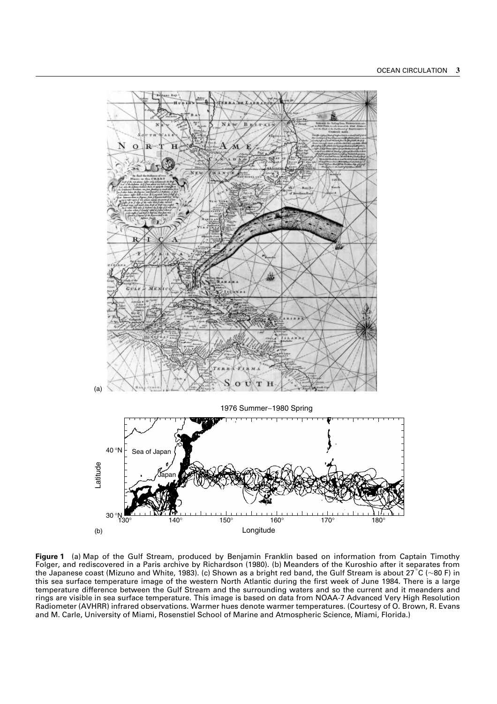

**Figure 1** (a) Map of the Gulf Stream, produced by Benjamin Franklin based on information from Captain Timothy Folger, and rediscovered in a Paris archive by Richardson (1980). (b) Meanders of the Kuroshio after it separates from the Japanese coast (Mizuno and White, 1983). (c) Shown as a bright red band, the Gulf Stream is about 27  $^\circ$ C (~80 F) in this sea surface temperature image of the western North Atlantic during the first week of June 1984. There is a large temperature difference between the Gulf Stream and the surrounding waters and so the current and it meanders and rings are visible in sea surface temperature. This image is based on data from NOAA-7 Advanced Very High Resolution Radiometer (AVHRR) infrared observations. Warmer hues denote warmer temperatures. (Courtesy of O. Brown, R. Evans and M. Carle, University of Miami, Rosenstiel School of Marine and Atmospheric Science, Miami, Florida.)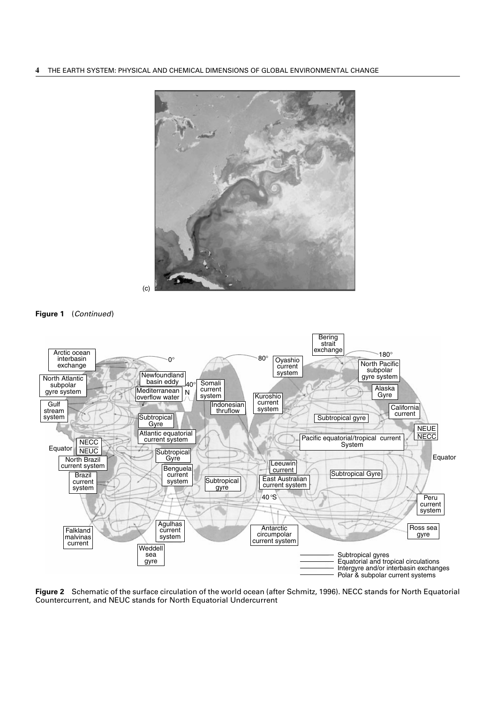**4** THE EARTH SYSTEM: PHYSICAL AND CHEMICAL DIMENSIONS OF GLOBAL ENVIRONMENTAL CHANGE







**Figure 2** Schematic of the surface circulation of the world ocean (after Schmitz, 1996). NECC stands for North Equatorial Countercurrent, and NEUC stands for North Equatorial Undercurrent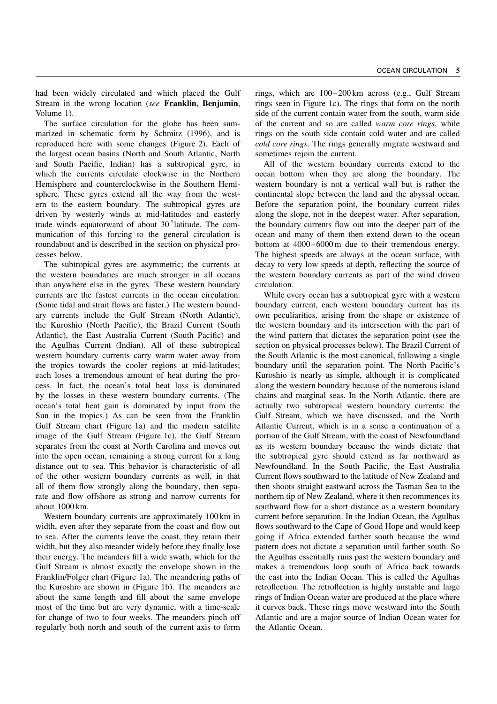had been widely circulated and which placed the Gulf Stream in the wrong location (*see* **Franklin, Benjamin**, Volume 1).

The surface circulation for the globe has been summarized in schematic form by Schmitz (1996), and is reproduced here with some changes (Figure 2). Each of the largest ocean basins (North and South Atlantic, North and South Pacific, Indian) has a subtropical gyre, in which the currents circulate clockwise in the Northern Hemisphere and counterclockwise in the Southern Hemisphere. These gyres extend all the way from the western to the eastern boundary. The subtropical gyres are driven by westerly winds at mid-latitudes and easterly trade winds equatorward of about 30 °latitude. The communication of this forcing to the general circulation is roundabout and is described in the section on physical processes below.

The subtropical gyres are asymmetric; the currents at the western boundaries are much stronger in all oceans than anywhere else in the gyres. These western boundary currents are the fastest currents in the ocean circulation. (Some tidal and strait flows are faster.) The western boundary currents include the Gulf Stream (North Atlantic), the Kuroshio (North Pacific), the Brazil Current (South Atlantic), the East Australia Current (South Pacific) and the Agulhas Current (Indian). All of these subtropical western boundary currents carry warm water away from the tropics towards the cooler regions at mid-latitudes; each loses a tremendous amount of heat during the process. In fact, the ocean's total heat loss is dominated by the losses in these western boundary currents. (The ocean's total heat gain is dominated by input from the Sun in the tropics.) As can be seen from the Franklin Gulf Stream chart (Figure 1a) and the modern satellite image of the Gulf Stream (Figure 1c), the Gulf Stream separates from the coast at North Carolina and moves out into the open ocean, remaining a strong current for a long distance out to sea. This behavior is characteristic of all of the other western boundary currents as well, in that all of them flow strongly along the boundary, then separate and flow offshore as strong and narrow currents for about 1000 km.

Western boundary currents are approximately 100 km in width, even after they separate from the coast and flow out to sea. After the currents leave the coast, they retain their width, but they also meander widely before they finally lose their energy. The meanders fill a wide swath, which for the Gulf Stream is almost exactly the envelope shown in the Franklin/Folger chart (Figure 1a). The meandering paths of the Kuroshio are shown in (Figure 1b). The meanders are about the same length and fill about the same envelope most of the time but are very dynamic, with a time-scale for change of two to four weeks. The meanders pinch off regularly both north and south of the current axis to form

rings, which are 100–200 km across (e.g., Gulf Stream rings seen in Figure 1c). The rings that form on the north side of the current contain water from the south, warm side of the current and so are called *warm core rings*, while rings on the south side contain cold water and are called *cold core rings*. The rings generally migrate westward and sometimes rejoin the current.

All of the western boundary currents extend to the ocean bottom when they are along the boundary. The western boundary is not a vertical wall but is rather the continental slope between the land and the abyssal ocean. Before the separation point, the boundary current rides along the slope, not in the deepest water. After separation, the boundary currents flow out into the deeper part of the ocean and many of them then extend down to the ocean bottom at 4000–6000 m due to their tremendous energy. The highest speeds are always at the ocean surface, with decay to very low speeds at depth, reflecting the source of the western boundary currents as part of the wind driven circulation.

While every ocean has a subtropical gyre with a western boundary current, each western boundary current has its own peculiarities, arising from the shape or existence of the western boundary and its intersection with the part of the wind pattern that dictates the separation point (see the section on physical processes below). The Brazil Current of the South Atlantic is the most canonical, following a single boundary until the separation point. The North Pacific's Kuroshio is nearly as simple, although it is complicated along the western boundary because of the numerous island chains and marginal seas. In the North Atlantic, there are actually two subtropical western boundary currents: the Gulf Stream, which we have discussed, and the North Atlantic Current, which is in a sense a continuation of a portion of the Gulf Stream, with the coast of Newfoundland as its western boundary because the winds dictate that the subtropical gyre should extend as far northward as Newfoundland. In the South Pacific, the East Australia Current flows southward to the latitude of New Zealand and then shoots straight eastward across the Tasman Sea to the northern tip of New Zealand, where it then recommences its southward flow for a short distance as a western boundary current before separation. In the Indian Ocean, the Agulhas flows southward to the Cape of Good Hope and would keep going if Africa extended farther south because the wind pattern does not dictate a separation until farther south. So the Agulhas essentially runs past the western boundary and makes a tremendous loop south of Africa back towards the east into the Indian Ocean. This is called the Agulhas retroflection. The retroflection is highly unstable and large rings of Indian Ocean water are produced at the place where it curves back. These rings move westward into the South Atlantic and are a major source of Indian Ocean water for the Atlantic Ocean.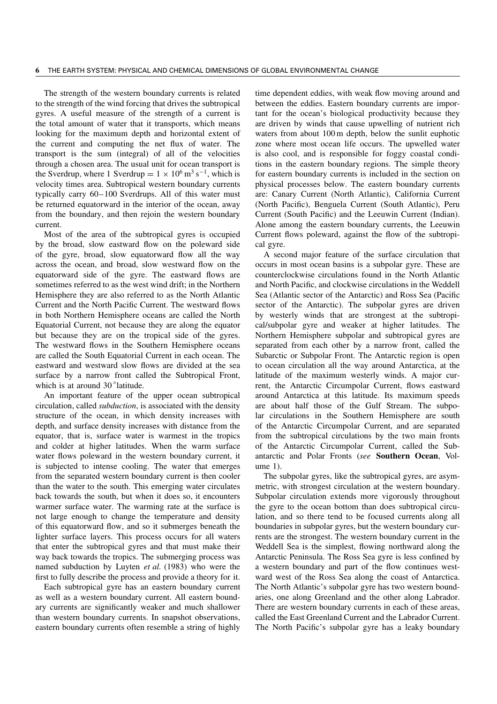The strength of the western boundary currents is related to the strength of the wind forcing that drives the subtropical gyres. A useful measure of the strength of a current is the total amount of water that it transports, which means looking for the maximum depth and horizontal extent of the current and computing the net flux of water. The transport is the sum (integral) of all of the velocities through a chosen area. The usual unit for ocean transport is the Sverdrup, where 1 Sverdrup =  $1 \times 10^6$  m<sup>3</sup> s<sup>-1</sup>, which is velocity times area. Subtropical western boundary currents typically carry 60–100 Sverdrups. All of this water must be returned equatorward in the interior of the ocean, away from the boundary, and then rejoin the western boundary current.

Most of the area of the subtropical gyres is occupied by the broad, slow eastward flow on the poleward side of the gyre, broad, slow equatorward flow all the way across the ocean, and broad, slow westward flow on the equatorward side of the gyre. The eastward flows are sometimes referred to as the west wind drift; in the Northern Hemisphere they are also referred to as the North Atlantic Current and the North Pacific Current. The westward flows in both Northern Hemisphere oceans are called the North Equatorial Current, not because they are along the equator but because they are on the tropical side of the gyres. The westward flows in the Southern Hemisphere oceans are called the South Equatorial Current in each ocean. The eastward and westward slow flows are divided at the sea surface by a narrow front called the Subtropical Front, which is at around 30° latitude.

An important feature of the upper ocean subtropical circulation, called *subduction*, is associated with the density structure of the ocean, in which density increases with depth, and surface density increases with distance from the equator, that is, surface water is warmest in the tropics and colder at higher latitudes. When the warm surface water flows poleward in the western boundary current, it is subjected to intense cooling. The water that emerges from the separated western boundary current is then cooler than the water to the south. This emerging water circulates back towards the south, but when it does so, it encounters warmer surface water. The warming rate at the surface is not large enough to change the temperature and density of this equatorward flow, and so it submerges beneath the lighter surface layers. This process occurs for all waters that enter the subtropical gyres and that must make their way back towards the tropics. The submerging process was named subduction by Luyten *et al.* (1983) who were the first to fully describe the process and provide a theory for it.

Each subtropical gyre has an eastern boundary current as well as a western boundary current. All eastern boundary currents are significantly weaker and much shallower than western boundary currents. In snapshot observations, eastern boundary currents often resemble a string of highly

time dependent eddies, with weak flow moving around and between the eddies. Eastern boundary currents are important for the ocean's biological productivity because they are driven by winds that cause upwelling of nutrient rich waters from about 100 m depth, below the sunlit euphotic zone where most ocean life occurs. The upwelled water is also cool, and is responsible for foggy coastal conditions in the eastern boundary regions. The simple theory for eastern boundary currents is included in the section on physical processes below. The eastern boundary currents are: Canary Current (North Atlantic), California Current (North Pacific), Benguela Current (South Atlantic), Peru Current (South Pacific) and the Leeuwin Current (Indian). Alone among the eastern boundary currents, the Leeuwin Current flows poleward, against the flow of the subtropical gyre.

A second major feature of the surface circulation that occurs in most ocean basins is a subpolar gyre. These are counterclockwise circulations found in the North Atlantic and North Pacific, and clockwise circulations in the Weddell Sea (Atlantic sector of the Antarctic) and Ross Sea (Pacific sector of the Antarctic). The subpolar gyres are driven by westerly winds that are strongest at the subtropical/subpolar gyre and weaker at higher latitudes. The Northern Hemisphere subpolar and subtropical gyres are separated from each other by a narrow front, called the Subarctic or Subpolar Front. The Antarctic region is open to ocean circulation all the way around Antarctica, at the latitude of the maximum westerly winds. A major current, the Antarctic Circumpolar Current, flows eastward around Antarctica at this latitude. Its maximum speeds are about half those of the Gulf Stream. The subpolar circulations in the Southern Hemisphere are south of the Antarctic Circumpolar Current, and are separated from the subtropical circulations by the two main fronts of the Antarctic Circumpolar Current, called the Subantarctic and Polar Fronts (*see* **Southern Ocean**, Volume 1).

The subpolar gyres, like the subtropical gyres, are asymmetric, with strongest circulation at the western boundary. Subpolar circulation extends more vigorously throughout the gyre to the ocean bottom than does subtropical circulation, and so there tend to be focused currents along all boundaries in subpolar gyres, but the western boundary currents are the strongest. The western boundary current in the Weddell Sea is the simplest, flowing northward along the Antarctic Peninsula. The Ross Sea gyre is less confined by a western boundary and part of the flow continues westward west of the Ross Sea along the coast of Antarctica. The North Atlantic's subpolar gyre has two western boundaries, one along Greenland and the other along Labrador. There are western boundary currents in each of these areas, called the East Greenland Current and the Labrador Current. The North Pacific's subpolar gyre has a leaky boundary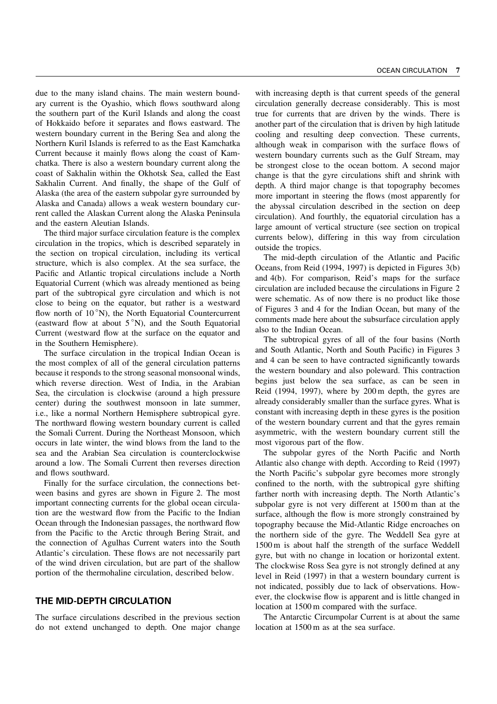due to the many island chains. The main western boundary current is the Oyashio, which flows southward along the southern part of the Kuril Islands and along the coast of Hokkaido before it separates and flows eastward. The western boundary current in the Bering Sea and along the Northern Kuril Islands is referred to as the East Kamchatka Current because it mainly flows along the coast of Kamchatka. There is also a western boundary current along the coast of Sakhalin within the Okhotsk Sea, called the East Sakhalin Current. And finally, the shape of the Gulf of Alaska (the area of the eastern subpolar gyre surrounded by Alaska and Canada) allows a weak western boundary current called the Alaskan Current along the Alaska Peninsula and the eastern Aleutian Islands.

The third major surface circulation feature is the complex circulation in the tropics, which is described separately in the section on tropical circulation, including its vertical structure, which is also complex. At the sea surface, the Pacific and Atlantic tropical circulations include a North Equatorial Current (which was already mentioned as being part of the subtropical gyre circulation and which is not close to being on the equator, but rather is a westward flow north of 10<sup>°</sup>N), the North Equatorial Countercurrent (eastward flow at about 5 °N), and the South Equatorial Current (westward flow at the surface on the equator and in the Southern Hemisphere).

The surface circulation in the tropical Indian Ocean is the most complex of all of the general circulation patterns because it responds to the strong seasonal monsoonal winds, which reverse direction. West of India, in the Arabian Sea, the circulation is clockwise (around a high pressure center) during the southwest monsoon in late summer, i.e., like a normal Northern Hemisphere subtropical gyre. The northward flowing western boundary current is called the Somali Current. During the Northeast Monsoon, which occurs in late winter, the wind blows from the land to the sea and the Arabian Sea circulation is counterclockwise around a low. The Somali Current then reverses direction and flows southward.

Finally for the surface circulation, the connections between basins and gyres are shown in Figure 2. The most important connecting currents for the global ocean circulation are the westward flow from the Pacific to the Indian Ocean through the Indonesian passages, the northward flow from the Pacific to the Arctic through Bering Strait, and the connection of Agulhas Current waters into the South Atlantic's circulation. These flows are not necessarily part of the wind driven circulation, but are part of the shallow portion of the thermohaline circulation, described below.

#### **THE MID-DEPTH CIRCULATION**

The surface circulations described in the previous section do not extend unchanged to depth. One major change with increasing depth is that current speeds of the general circulation generally decrease considerably. This is most true for currents that are driven by the winds. There is another part of the circulation that is driven by high latitude cooling and resulting deep convection. These currents, although weak in comparison with the surface flows of western boundary currents such as the Gulf Stream, may be strongest close to the ocean bottom. A second major change is that the gyre circulations shift and shrink with depth. A third major change is that topography becomes more important in steering the flows (most apparently for the abyssal circulation described in the section on deep circulation). And fourthly, the equatorial circulation has a large amount of vertical structure (see section on tropical currents below), differing in this way from circulation outside the tropics.

The mid-depth circulation of the Atlantic and Pacific Oceans, from Reid (1994, 1997) is depicted in Figures 3(b) and 4(b). For comparison, Reid's maps for the surface circulation are included because the circulations in Figure 2 were schematic. As of now there is no product like those of Figures 3 and 4 for the Indian Ocean, but many of the comments made here about the subsurface circulation apply also to the Indian Ocean.

The subtropical gyres of all of the four basins (North and South Atlantic, North and South Pacific) in Figures 3 and 4 can be seen to have contracted significantly towards the western boundary and also poleward. This contraction begins just below the sea surface, as can be seen in Reid (1994, 1997), where by 200 m depth, the gyres are already considerably smaller than the surface gyres. What is constant with increasing depth in these gyres is the position of the western boundary current and that the gyres remain asymmetric, with the western boundary current still the most vigorous part of the flow.

The subpolar gyres of the North Pacific and North Atlantic also change with depth. According to Reid (1997) the North Pacific's subpolar gyre becomes more strongly confined to the north, with the subtropical gyre shifting farther north with increasing depth. The North Atlantic's subpolar gyre is not very different at 1500 m than at the surface, although the flow is more strongly constrained by topography because the Mid-Atlantic Ridge encroaches on the northern side of the gyre. The Weddell Sea gyre at 1500 m is about half the strength of the surface Weddell gyre, but with no change in location or horizontal extent. The clockwise Ross Sea gyre is not strongly defined at any level in Reid (1997) in that a western boundary current is not indicated, possibly due to lack of observations. However, the clockwise flow is apparent and is little changed in location at 1500 m compared with the surface.

The Antarctic Circumpolar Current is at about the same location at 1500 m as at the sea surface.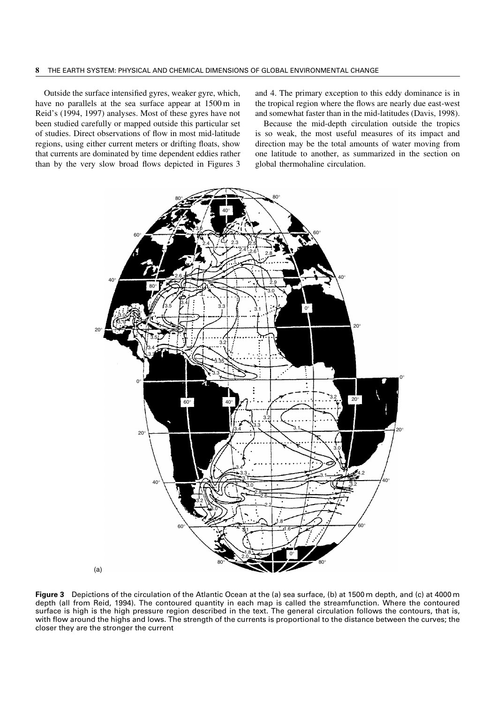Outside the surface intensified gyres, weaker gyre, which, have no parallels at the sea surface appear at 1500 m in Reid's (1994, 1997) analyses. Most of these gyres have not been studied carefully or mapped outside this particular set of studies. Direct observations of flow in most mid-latitude regions, using either current meters or drifting floats, show that currents are dominated by time dependent eddies rather than by the very slow broad flows depicted in Figures 3

and 4. The primary exception to this eddy dominance is in the tropical region where the flows are nearly due east-west and somewhat faster than in the mid-latitudes (Davis, 1998).

Because the mid-depth circulation outside the tropics is so weak, the most useful measures of its impact and direction may be the total amounts of water moving from one latitude to another, as summarized in the section on global thermohaline circulation.



**Figure 3** Depictions of the circulation of the Atlantic Ocean at the (a) sea surface, (b) at 1500 m depth, and (c) at 4000 m depth (all from Reid, 1994). The contoured quantity in each map is called the streamfunction. Where the contoured surface is high is the high pressure region described in the text. The general circulation follows the contours, that is, with flow around the highs and lows. The strength of the currents is proportional to the distance between the curves; the closer they are the stronger the current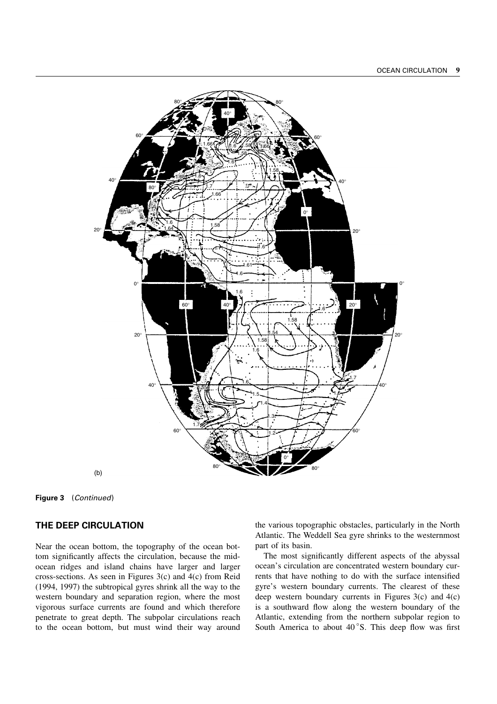



#### **THE DEEP CIRCULATION**

Near the ocean bottom, the topography of the ocean bottom significantly affects the circulation, because the midocean ridges and island chains have larger and larger cross-sections. As seen in Figures 3(c) and 4(c) from Reid (1994, 1997) the subtropical gyres shrink all the way to the western boundary and separation region, where the most vigorous surface currents are found and which therefore penetrate to great depth. The subpolar circulations reach to the ocean bottom, but must wind their way around the various topographic obstacles, particularly in the North Atlantic. The Weddell Sea gyre shrinks to the westernmost part of its basin.

The most significantly different aspects of the abyssal ocean's circulation are concentrated western boundary currents that have nothing to do with the surface intensified gyre's western boundary currents. The clearest of these deep western boundary currents in Figures 3(c) and 4(c) is a southward flow along the western boundary of the Atlantic, extending from the northern subpolar region to South America to about 40°S. This deep flow was first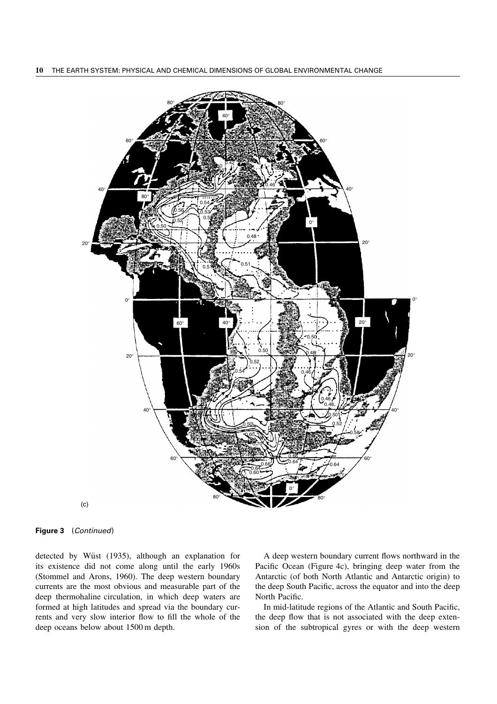



detected by Wüst  $(1935)$ , although an explanation for its existence did not come along until the early 1960s (Stommel and Arons, 1960). The deep western boundary currents are the most obvious and measurable part of the deep thermohaline circulation, in which deep waters are formed at high latitudes and spread via the boundary currents and very slow interior flow to fill the whole of the deep oceans below about 1500 m depth.

A deep western boundary current flows northward in the Pacific Ocean (Figure 4c), bringing deep water from the Antarctic (of both North Atlantic and Antarctic origin) to the deep South Pacific, across the equator and into the deep North Pacific.

In mid-latitude regions of the Atlantic and South Pacific, the deep flow that is not associated with the deep extension of the subtropical gyres or with the deep western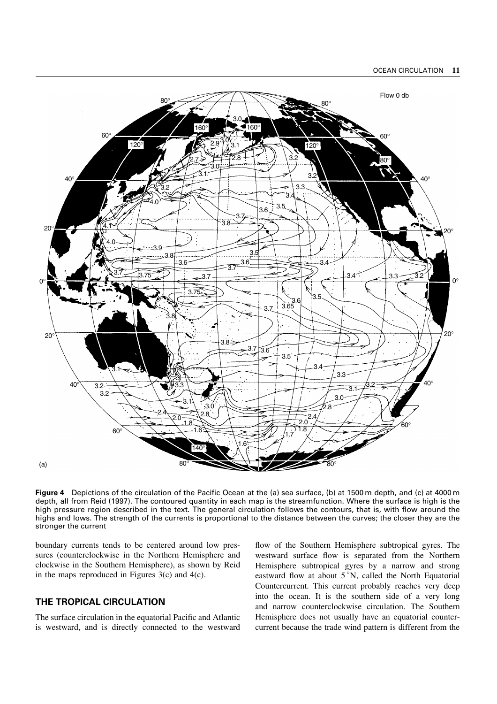

**Figure 4** Depictions of the circulation of the Pacific Ocean at the (a) sea surface, (b) at 1500 m depth, and (c) at 4000 m depth, all from Reid (1997). The contoured quantity in each map is the streamfunction. Where the surface is high is the high pressure region described in the text. The general circulation follows the contours, that is, with flow around the highs and lows. The strength of the currents is proportional to the distance between the curves; the closer they are the stronger the current

boundary currents tends to be centered around low pressures (counterclockwise in the Northern Hemisphere and clockwise in the Southern Hemisphere), as shown by Reid in the maps reproduced in Figures 3(c) and 4(c).

## **THE TROPICAL CIRCULATION**

The surface circulation in the equatorial Pacific and Atlantic is westward, and is directly connected to the westward

flow of the Southern Hemisphere subtropical gyres. The westward surface flow is separated from the Northern Hemisphere subtropical gyres by a narrow and strong eastward flow at about 5 °N, called the North Equatorial Countercurrent. This current probably reaches very deep into the ocean. It is the southern side of a very long and narrow counterclockwise circulation. The Southern Hemisphere does not usually have an equatorial countercurrent because the trade wind pattern is different from the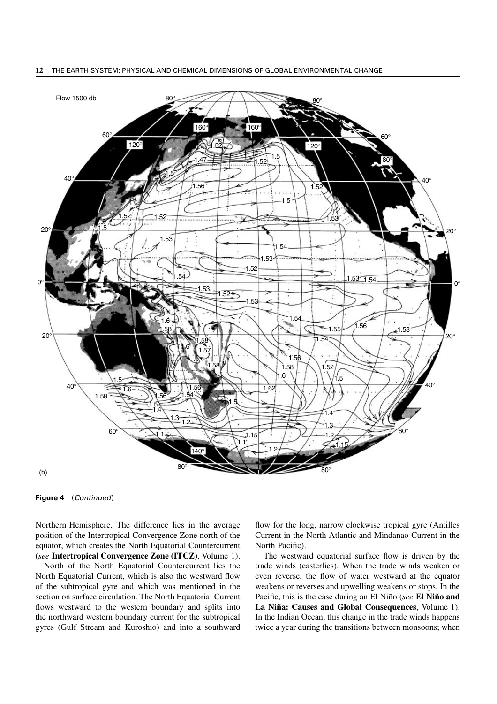**12** THE EARTH SYSTEM: PHYSICAL AND CHEMICAL DIMENSIONS OF GLOBAL ENVIRONMENTAL CHANGE





Northern Hemisphere. The difference lies in the average position of the Intertropical Convergence Zone north of the equator, which creates the North Equatorial Countercurrent (*see* **Intertropical Convergence Zone (ITCZ)**, Volume 1).

North of the North Equatorial Countercurrent lies the North Equatorial Current, which is also the westward flow of the subtropical gyre and which was mentioned in the section on surface circulation. The North Equatorial Current flows westward to the western boundary and splits into the northward western boundary current for the subtropical gyres (Gulf Stream and Kuroshio) and into a southward

flow for the long, narrow clockwise tropical gyre (Antilles Current in the North Atlantic and Mindanao Current in the North Pacific).

The westward equatorial surface flow is driven by the trade winds (easterlies). When the trade winds weaken or even reverse, the flow of water westward at the equator weakens or reverses and upwelling weakens or stops. In the Pacific, this is the case during an El Niño (see **El Niño and** La Niña: Causes and Global Consequences, Volume 1). In the Indian Ocean, this change in the trade winds happens twice a year during the transitions between monsoons; when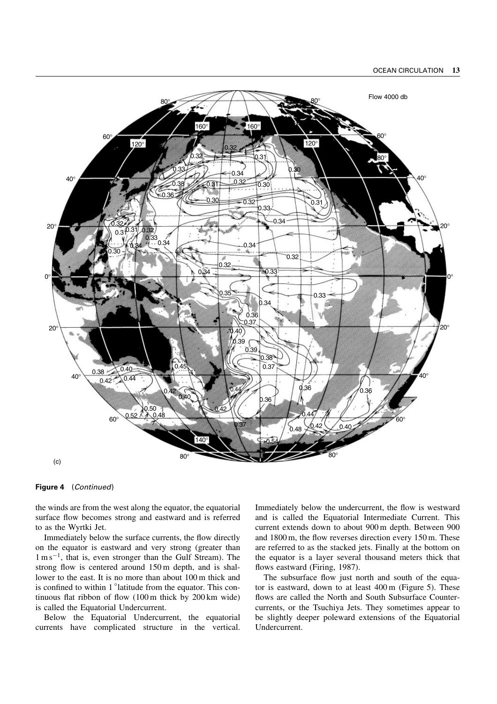



the winds are from the west along the equator, the equatorial surface flow becomes strong and eastward and is referred to as the Wyrtki Jet.

Immediately below the surface currents, the flow directly on the equator is eastward and very strong (greater than  $1 \text{ m s}^{-1}$ , that is, even stronger than the Gulf Stream). The strong flow is centered around 150 m depth, and is shallower to the east. It is no more than about 100 m thick and is confined to within 1 <sup>o</sup>latitude from the equator. This continuous flat ribbon of flow (100 m thick by 200 km wide) is called the Equatorial Undercurrent.

Below the Equatorial Undercurrent, the equatorial currents have complicated structure in the vertical. Immediately below the undercurrent, the flow is westward and is called the Equatorial Intermediate Current. This current extends down to about 900 m depth. Between 900 and 1800 m, the flow reverses direction every 150 m. These are referred to as the stacked jets. Finally at the bottom on the equator is a layer several thousand meters thick that flows eastward (Firing, 1987).

The subsurface flow just north and south of the equator is eastward, down to at least 400 m (Figure 5). These flows are called the North and South Subsurface Countercurrents, or the Tsuchiya Jets. They sometimes appear to be slightly deeper poleward extensions of the Equatorial Undercurrent.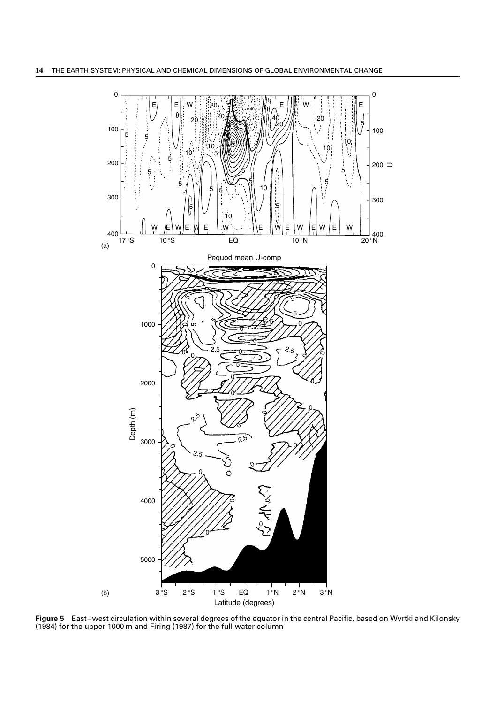

**Figure 5** East–west circulation within several degrees of the equator in the central Pacific, based on Wyrtki and Kilonsky (1984) for the upper 1000 m and Firing (1987) for the full water column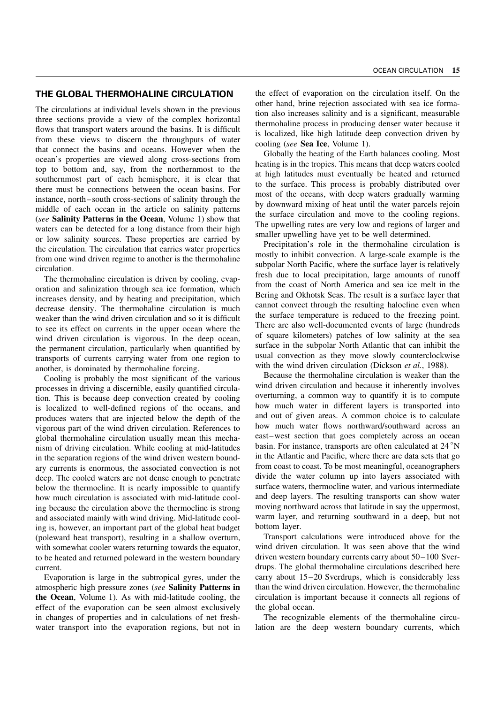#### **THE GLOBAL THERMOHALINE CIRCULATION**

The circulations at individual levels shown in the previous three sections provide a view of the complex horizontal flows that transport waters around the basins. It is difficult from these views to discern the throughputs of water that connect the basins and oceans. However when the ocean's properties are viewed along cross-sections from top to bottom and, say, from the northernmost to the southernmost part of each hemisphere, it is clear that there must be connections between the ocean basins. For instance, north–south cross-sections of salinity through the middle of each ocean in the article on salinity patterns (*see* **Salinity Patterns in the Ocean**, Volume 1) show that waters can be detected for a long distance from their high or low salinity sources. These properties are carried by the circulation. The circulation that carries water properties from one wind driven regime to another is the thermohaline circulation.

The thermohaline circulation is driven by cooling, evaporation and salinization through sea ice formation, which increases density, and by heating and precipitation, which decrease density. The thermohaline circulation is much weaker than the wind driven circulation and so it is difficult to see its effect on currents in the upper ocean where the wind driven circulation is vigorous. In the deep ocean, the permanent circulation, particularly when quantified by transports of currents carrying water from one region to another, is dominated by thermohaline forcing.

Cooling is probably the most significant of the various processes in driving a discernible, easily quantified circulation. This is because deep convection created by cooling is localized to well-defined regions of the oceans, and produces waters that are injected below the depth of the vigorous part of the wind driven circulation. References to global thermohaline circulation usually mean this mechanism of driving circulation. While cooling at mid-latitudes in the separation regions of the wind driven western boundary currents is enormous, the associated convection is not deep. The cooled waters are not dense enough to penetrate below the thermocline. It is nearly impossible to quantify how much circulation is associated with mid-latitude cooling because the circulation above the thermocline is strong and associated mainly with wind driving. Mid-latitude cooling is, however, an important part of the global heat budget (poleward heat transport), resulting in a shallow overturn, with somewhat cooler waters returning towards the equator, to be heated and returned poleward in the western boundary current.

Evaporation is large in the subtropical gyres, under the atmospheric high pressure zones (*see* **Salinity Patterns in the Ocean**, Volume 1). As with mid-latitude cooling, the effect of the evaporation can be seen almost exclusively in changes of properties and in calculations of net freshwater transport into the evaporation regions, but not in

the effect of evaporation on the circulation itself. On the other hand, brine rejection associated with sea ice formation also increases salinity and is a significant, measurable thermohaline process in producing denser water because it is localized, like high latitude deep convection driven by cooling (*see* **Sea Ice**, Volume 1).

Globally the heating of the Earth balances cooling. Most heating is in the tropics. This means that deep waters cooled at high latitudes must eventually be heated and returned to the surface. This process is probably distributed over most of the oceans, with deep waters gradually warming by downward mixing of heat until the water parcels rejoin the surface circulation and move to the cooling regions. The upwelling rates are very low and regions of larger and smaller upwelling have yet to be well determined.

Precipitation's role in the thermohaline circulation is mostly to inhibit convection. A large-scale example is the subpolar North Pacific, where the surface layer is relatively fresh due to local precipitation, large amounts of runoff from the coast of North America and sea ice melt in the Bering and Okhotsk Seas. The result is a surface layer that cannot convect through the resulting halocline even when the surface temperature is reduced to the freezing point. There are also well-documented events of large (hundreds of square kilometers) patches of low salinity at the sea surface in the subpolar North Atlantic that can inhibit the usual convection as they move slowly counterclockwise with the wind driven circulation (Dickson *et al.*, 1988).

Because the thermohaline circulation is weaker than the wind driven circulation and because it inherently involves overturning, a common way to quantify it is to compute how much water in different layers is transported into and out of given areas. A common choice is to calculate how much water flows northward/southward across an east–west section that goes completely across an ocean basin. For instance, transports are often calculated at 24 °N in the Atlantic and Pacific, where there are data sets that go from coast to coast. To be most meaningful, oceanographers divide the water column up into layers associated with surface waters, thermocline water, and various intermediate and deep layers. The resulting transports can show water moving northward across that latitude in say the uppermost, warm layer, and returning southward in a deep, but not bottom layer.

Transport calculations were introduced above for the wind driven circulation. It was seen above that the wind driven western boundary currents carry about 50–100 Sverdrups. The global thermohaline circulations described here carry about 15–20 Sverdrups, which is considerably less than the wind driven circulation. However, the thermohaline circulation is important because it connects all regions of the global ocean.

The recognizable elements of the thermohaline circulation are the deep western boundary currents, which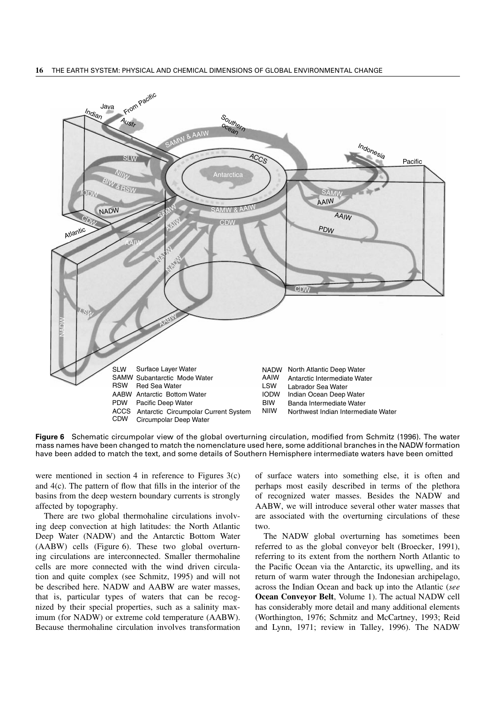

**Figure 6** Schematic circumpolar view of the global overturning circulation, modified from Schmitz (1996). The water mass names have been changed to match the nomenclature used here, some additional branches in the NADW formation have been added to match the text, and some details of Southern Hemisphere intermediate waters have been omitted

were mentioned in section 4 in reference to Figures 3(c) and 4(c). The pattern of flow that fills in the interior of the basins from the deep western boundary currents is strongly affected by topography.

There are two global thermohaline circulations involving deep convection at high latitudes: the North Atlantic Deep Water (NADW) and the Antarctic Bottom Water (AABW) cells (Figure 6). These two global overturning circulations are interconnected. Smaller thermohaline cells are more connected with the wind driven circulation and quite complex (see Schmitz, 1995) and will not be described here. NADW and AABW are water masses, that is, particular types of waters that can be recognized by their special properties, such as a salinity maximum (for NADW) or extreme cold temperature (AABW). Because thermohaline circulation involves transformation

of surface waters into something else, it is often and perhaps most easily described in terms of the plethora of recognized water masses. Besides the NADW and AABW, we will introduce several other water masses that are associated with the overturning circulations of these two.

The NADW global overturning has sometimes been referred to as the global conveyor belt (Broecker, 1991), referring to its extent from the northern North Atlantic to the Pacific Ocean via the Antarctic, its upwelling, and its return of warm water through the Indonesian archipelago, across the Indian Ocean and back up into the Atlantic (*see* **Ocean Conveyor Belt**, Volume 1). The actual NADW cell has considerably more detail and many additional elements (Worthington, 1976; Schmitz and McCartney, 1993; Reid and Lynn, 1971; review in Talley, 1996). The NADW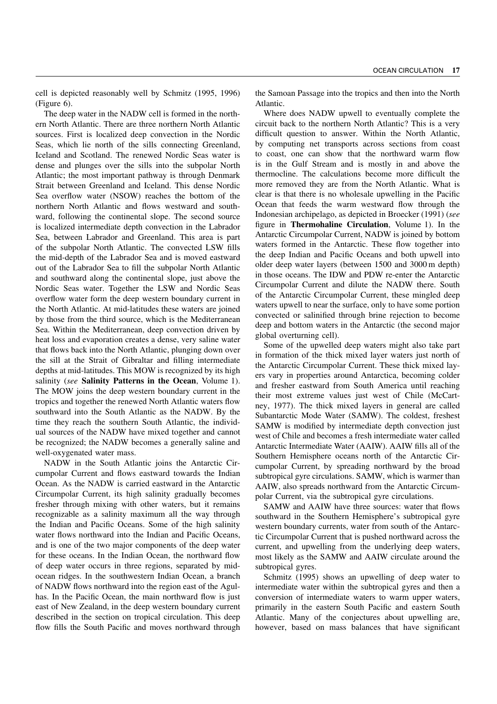cell is depicted reasonably well by Schmitz (1995, 1996) (Figure 6).

The deep water in the NADW cell is formed in the northern North Atlantic. There are three northern North Atlantic sources. First is localized deep convection in the Nordic Seas, which lie north of the sills connecting Greenland, Iceland and Scotland. The renewed Nordic Seas water is dense and plunges over the sills into the subpolar North Atlantic; the most important pathway is through Denmark Strait between Greenland and Iceland. This dense Nordic Sea overflow water (NSOW) reaches the bottom of the northern North Atlantic and flows westward and southward, following the continental slope. The second source is localized intermediate depth convection in the Labrador Sea, between Labrador and Greenland. This area is part of the subpolar North Atlantic. The convected LSW fills the mid-depth of the Labrador Sea and is moved eastward out of the Labrador Sea to fill the subpolar North Atlantic and southward along the continental slope, just above the Nordic Seas water. Together the LSW and Nordic Seas overflow water form the deep western boundary current in the North Atlantic. At mid-latitudes these waters are joined by those from the third source, which is the Mediterranean Sea. Within the Mediterranean, deep convection driven by heat loss and evaporation creates a dense, very saline water that flows back into the North Atlantic, plunging down over the sill at the Strait of Gibraltar and filling intermediate depths at mid-latitudes. This MOW is recognized by its high salinity (*see* **Salinity Patterns in the Ocean**, Volume 1). The MOW joins the deep western boundary current in the tropics and together the renewed North Atlantic waters flow southward into the South Atlantic as the NADW. By the time they reach the southern South Atlantic, the individual sources of the NADW have mixed together and cannot be recognized; the NADW becomes a generally saline and well-oxygenated water mass.

NADW in the South Atlantic joins the Antarctic Circumpolar Current and flows eastward towards the Indian Ocean. As the NADW is carried eastward in the Antarctic Circumpolar Current, its high salinity gradually becomes fresher through mixing with other waters, but it remains recognizable as a salinity maximum all the way through the Indian and Pacific Oceans. Some of the high salinity water flows northward into the Indian and Pacific Oceans, and is one of the two major components of the deep water for these oceans. In the Indian Ocean, the northward flow of deep water occurs in three regions, separated by midocean ridges. In the southwestern Indian Ocean, a branch of NADW flows northward into the region east of the Agulhas. In the Pacific Ocean, the main northward flow is just east of New Zealand, in the deep western boundary current described in the section on tropical circulation. This deep flow fills the South Pacific and moves northward through

the Samoan Passage into the tropics and then into the North Atlantic.

Where does NADW upwell to eventually complete the circuit back to the northern North Atlantic? This is a very difficult question to answer. Within the North Atlantic, by computing net transports across sections from coast to coast, one can show that the northward warm flow is in the Gulf Stream and is mostly in and above the thermocline. The calculations become more difficult the more removed they are from the North Atlantic. What is clear is that there is no wholesale upwelling in the Pacific Ocean that feeds the warm westward flow through the Indonesian archipelago, as depicted in Broecker (1991) (*see* figure in **Thermohaline Circulation**, Volume 1). In the Antarctic Circumpolar Current, NADW is joined by bottom waters formed in the Antarctic. These flow together into the deep Indian and Pacific Oceans and both upwell into older deep water layers (between 1500 and 3000 m depth) in those oceans. The IDW and PDW re-enter the Antarctic Circumpolar Current and dilute the NADW there. South of the Antarctic Circumpolar Current, these mingled deep waters upwell to near the surface, only to have some portion convected or salinified through brine rejection to become deep and bottom waters in the Antarctic (the second major global overturning cell).

Some of the upwelled deep waters might also take part in formation of the thick mixed layer waters just north of the Antarctic Circumpolar Current. These thick mixed layers vary in properties around Antarctica, becoming colder and fresher eastward from South America until reaching their most extreme values just west of Chile (McCartney, 1977). The thick mixed layers in general are called Subantarctic Mode Water (SAMW). The coldest, freshest SAMW is modified by intermediate depth convection just west of Chile and becomes a fresh intermediate water called Antarctic Intermediate Water (AAIW). AAIW fills all of the Southern Hemisphere oceans north of the Antarctic Circumpolar Current, by spreading northward by the broad subtropical gyre circulations. SAMW, which is warmer than AAIW, also spreads northward from the Antarctic Circumpolar Current, via the subtropical gyre circulations.

SAMW and AAIW have three sources: water that flows southward in the Southern Hemisphere's subtropical gyre western boundary currents, water from south of the Antarctic Circumpolar Current that is pushed northward across the current, and upwelling from the underlying deep waters, most likely as the SAMW and AAIW circulate around the subtropical gyres.

Schmitz (1995) shows an upwelling of deep water to intermediate water within the subtropical gyres and then a conversion of intermediate waters to warm upper waters, primarily in the eastern South Pacific and eastern South Atlantic. Many of the conjectures about upwelling are, however, based on mass balances that have significant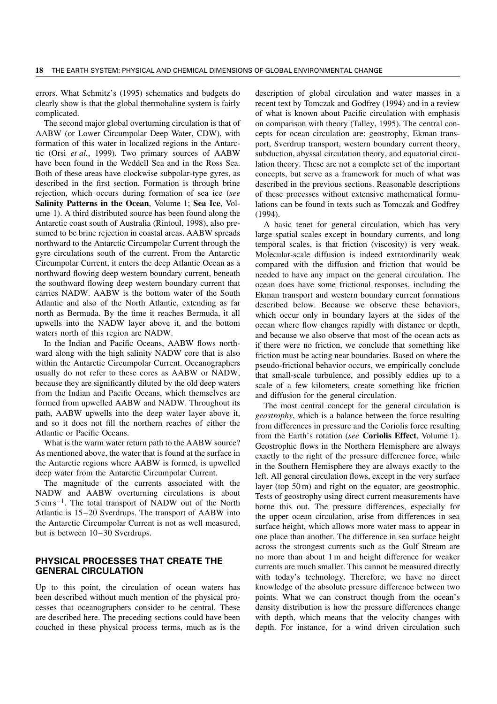errors. What Schmitz's (1995) schematics and budgets do clearly show is that the global thermohaline system is fairly complicated.

The second major global overturning circulation is that of AABW (or Lower Circumpolar Deep Water, CDW), with formation of this water in localized regions in the Antarctic (Orsi *et al.*, 1999). Two primary sources of AABW have been found in the Weddell Sea and in the Ross Sea. Both of these areas have clockwise subpolar-type gyres, as described in the first section. Formation is through brine rejection, which occurs during formation of sea ice (*see* **Salinity Patterns in the Ocean**, Volume 1; **Sea Ice**, Volume 1). A third distributed source has been found along the Antarctic coast south of Australia (Rintoul, 1998), also presumed to be brine rejection in coastal areas. AABW spreads northward to the Antarctic Circumpolar Current through the gyre circulations south of the current. From the Antarctic Circumpolar Current, it enters the deep Atlantic Ocean as a northward flowing deep western boundary current, beneath the southward flowing deep western boundary current that carries NADW. AABW is the bottom water of the South Atlantic and also of the North Atlantic, extending as far north as Bermuda. By the time it reaches Bermuda, it all upwells into the NADW layer above it, and the bottom waters north of this region are NADW.

In the Indian and Pacific Oceans, AABW flows northward along with the high salinity NADW core that is also within the Antarctic Circumpolar Current. Oceanographers usually do not refer to these cores as AABW or NADW, because they are significantly diluted by the old deep waters from the Indian and Pacific Oceans, which themselves are formed from upwelled AABW and NADW. Throughout its path, AABW upwells into the deep water layer above it, and so it does not fill the northern reaches of either the Atlantic or Pacific Oceans.

What is the warm water return path to the AABW source? As mentioned above, the water that is found at the surface in the Antarctic regions where AABW is formed, is upwelled deep water from the Antarctic Circumpolar Current.

The magnitude of the currents associated with the NADW and AABW overturning circulations is about  $5 \text{ cm s}^{-1}$ . The total transport of NADW out of the North Atlantic is 15–20 Sverdrups. The transport of AABW into the Antarctic Circumpolar Current is not as well measured, but is between 10–30 Sverdrups.

#### **PHYSICAL PROCESSES THAT CREATE THE GENERAL CIRCULATION**

Up to this point, the circulation of ocean waters has been described without much mention of the physical processes that oceanographers consider to be central. These are described here. The preceding sections could have been couched in these physical process terms, much as is the

description of global circulation and water masses in a recent text by Tomczak and Godfrey (1994) and in a review of what is known about Pacific circulation with emphasis on comparison with theory (Talley, 1995). The central concepts for ocean circulation are: geostrophy, Ekman transport, Sverdrup transport, western boundary current theory, subduction, abyssal circulation theory, and equatorial circulation theory. These are not a complete set of the important concepts, but serve as a framework for much of what was described in the previous sections. Reasonable descriptions of these processes without extensive mathematical formulations can be found in texts such as Tomczak and Godfrey (1994).

A basic tenet for general circulation, which has very large spatial scales except in boundary currents, and long temporal scales, is that friction (viscosity) is very weak. Molecular-scale diffusion is indeed extraordinarily weak compared with the diffusion and friction that would be needed to have any impact on the general circulation. The ocean does have some frictional responses, including the Ekman transport and western boundary current formations described below. Because we observe these behaviors, which occur only in boundary layers at the sides of the ocean where flow changes rapidly with distance or depth, and because we also observe that most of the ocean acts as if there were no friction, we conclude that something like friction must be acting near boundaries. Based on where the pseudo-frictional behavior occurs, we empirically conclude that small-scale turbulence, and possibly eddies up to a scale of a few kilometers, create something like friction and diffusion for the general circulation.

The most central concept for the general circulation is *geostrophy*, which is a balance between the force resulting from differences in pressure and the Coriolis force resulting from the Earth's rotation (*see* **Coriolis Effect**, Volume 1). Geostrophic flows in the Northern Hemisphere are always exactly to the right of the pressure difference force, while in the Southern Hemisphere they are always exactly to the left. All general circulation flows, except in the very surface layer (top 50 m) and right on the equator, are geostrophic. Tests of geostrophy using direct current measurements have borne this out. The pressure differences, especially for the upper ocean circulation, arise from differences in sea surface height, which allows more water mass to appear in one place than another. The difference in sea surface height across the strongest currents such as the Gulf Stream are no more than about 1 m and height difference for weaker currents are much smaller. This cannot be measured directly with today's technology. Therefore, we have no direct knowledge of the absolute pressure difference between two points. What we can construct though from the ocean's density distribution is how the pressure differences change with depth, which means that the velocity changes with depth. For instance, for a wind driven circulation such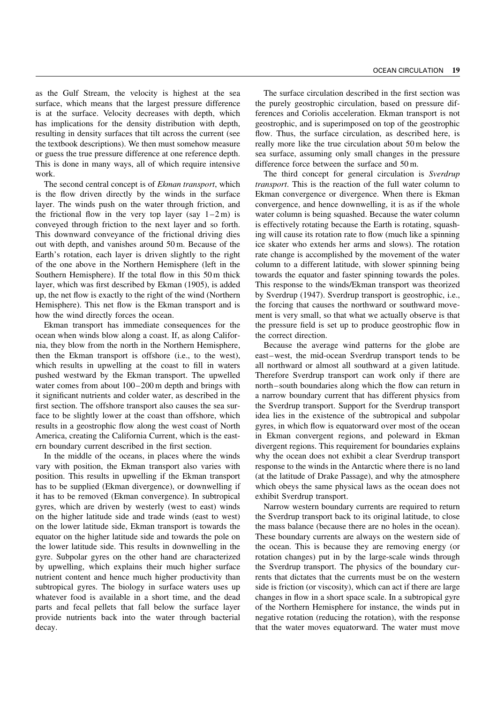as the Gulf Stream, the velocity is highest at the sea surface, which means that the largest pressure difference is at the surface. Velocity decreases with depth, which has implications for the density distribution with depth, resulting in density surfaces that tilt across the current (see the textbook descriptions). We then must somehow measure or guess the true pressure difference at one reference depth. This is done in many ways, all of which require intensive work.

The second central concept is of *Ekman transport*, which is the flow driven directly by the winds in the surface layer. The winds push on the water through friction, and the frictional flow in the very top layer (say  $1-2m$ ) is conveyed through friction to the next layer and so forth. This downward conveyance of the frictional driving dies out with depth, and vanishes around 50 m. Because of the Earth's rotation, each layer is driven slightly to the right of the one above in the Northern Hemisphere (left in the Southern Hemisphere). If the total flow in this 50 m thick layer, which was first described by Ekman (1905), is added up, the net flow is exactly to the right of the wind (Northern Hemisphere). This net flow is the Ekman transport and is how the wind directly forces the ocean.

Ekman transport has immediate consequences for the ocean when winds blow along a coast. If, as along California, they blow from the north in the Northern Hemisphere, then the Ekman transport is offshore (i.e., to the west), which results in upwelling at the coast to fill in waters pushed westward by the Ekman transport. The upwelled water comes from about 100–200 m depth and brings with it significant nutrients and colder water, as described in the first section. The offshore transport also causes the sea surface to be slightly lower at the coast than offshore, which results in a geostrophic flow along the west coast of North America, creating the California Current, which is the eastern boundary current described in the first section.

In the middle of the oceans, in places where the winds vary with position, the Ekman transport also varies with position. This results in upwelling if the Ekman transport has to be supplied (Ekman divergence), or downwelling if it has to be removed (Ekman convergence). In subtropical gyres, which are driven by westerly (west to east) winds on the higher latitude side and trade winds (east to west) on the lower latitude side, Ekman transport is towards the equator on the higher latitude side and towards the pole on the lower latitude side. This results in downwelling in the gyre. Subpolar gyres on the other hand are characterized by upwelling, which explains their much higher surface nutrient content and hence much higher productivity than subtropical gyres. The biology in surface waters uses up whatever food is available in a short time, and the dead parts and fecal pellets that fall below the surface layer provide nutrients back into the water through bacterial decay.

The surface circulation described in the first section was the purely geostrophic circulation, based on pressure differences and Coriolis acceleration. Ekman transport is not geostrophic, and is superimposed on top of the geostrophic flow. Thus, the surface circulation, as described here, is really more like the true circulation about 50 m below the sea surface, assuming only small changes in the pressure difference force between the surface and 50 m.

The third concept for general circulation is *Sverdrup transport*. This is the reaction of the full water column to Ekman convergence or divergence. When there is Ekman convergence, and hence downwelling, it is as if the whole water column is being squashed. Because the water column is effectively rotating because the Earth is rotating, squashing will cause its rotation rate to flow (much like a spinning ice skater who extends her arms and slows). The rotation rate change is accomplished by the movement of the water column to a different latitude, with slower spinning being towards the equator and faster spinning towards the poles. This response to the winds/Ekman transport was theorized by Sverdrup (1947). Sverdrup transport is geostrophic, i.e., the forcing that causes the northward or southward movement is very small, so that what we actually observe is that the pressure field is set up to produce geostrophic flow in the correct direction.

Because the average wind patterns for the globe are east–west, the mid-ocean Sverdrup transport tends to be all northward or almost all southward at a given latitude. Therefore Sverdrup transport can work only if there are north–south boundaries along which the flow can return in a narrow boundary current that has different physics from the Sverdrup transport. Support for the Sverdrup transport idea lies in the existence of the subtropical and subpolar gyres, in which flow is equatorward over most of the ocean in Ekman convergent regions, and poleward in Ekman divergent regions. This requirement for boundaries explains why the ocean does not exhibit a clear Sverdrup transport response to the winds in the Antarctic where there is no land (at the latitude of Drake Passage), and why the atmosphere which obeys the same physical laws as the ocean does not exhibit Sverdrup transport.

Narrow western boundary currents are required to return the Sverdrup transport back to its original latitude, to close the mass balance (because there are no holes in the ocean). These boundary currents are always on the western side of the ocean. This is because they are removing energy (or rotation changes) put in by the large-scale winds through the Sverdrup transport. The physics of the boundary currents that dictates that the currents must be on the western side is friction (or viscosity), which can act if there are large changes in flow in a short space scale. In a subtropical gyre of the Northern Hemisphere for instance, the winds put in negative rotation (reducing the rotation), with the response that the water moves equatorward. The water must move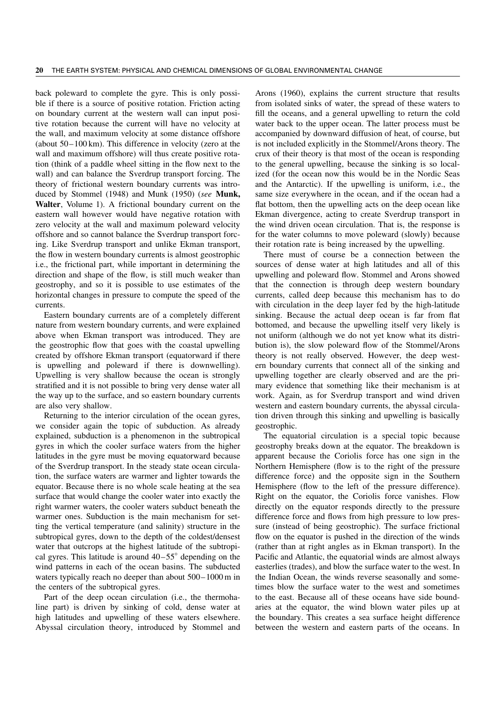back poleward to complete the gyre. This is only possible if there is a source of positive rotation. Friction acting on boundary current at the western wall can input positive rotation because the current will have no velocity at the wall, and maximum velocity at some distance offshore (about 50–100 km). This difference in velocity (zero at the wall and maximum offshore) will thus create positive rotation (think of a paddle wheel sitting in the flow next to the wall) and can balance the Sverdrup transport forcing. The theory of frictional western boundary currents was introduced by Stommel (1948) and Munk (1950) (*see* **Munk, Walter**, Volume 1). A frictional boundary current on the eastern wall however would have negative rotation with zero velocity at the wall and maximum poleward velocity offshore and so cannot balance the Sverdrup transport forcing. Like Sverdrup transport and unlike Ekman transport, the flow in western boundary currents is almost geostrophic i.e., the frictional part, while important in determining the direction and shape of the flow, is still much weaker than geostrophy, and so it is possible to use estimates of the horizontal changes in pressure to compute the speed of the currents.

Eastern boundary currents are of a completely different nature from western boundary currents, and were explained above when Ekman transport was introduced. They are the geostrophic flow that goes with the coastal upwelling created by offshore Ekman transport (equatorward if there is upwelling and poleward if there is downwelling). Upwelling is very shallow because the ocean is strongly stratified and it is not possible to bring very dense water all the way up to the surface, and so eastern boundary currents are also very shallow.

Returning to the interior circulation of the ocean gyres, we consider again the topic of subduction. As already explained, subduction is a phenomenon in the subtropical gyres in which the cooler surface waters from the higher latitudes in the gyre must be moving equatorward because of the Sverdrup transport. In the steady state ocean circulation, the surface waters are warmer and lighter towards the equator. Because there is no whole scale heating at the sea surface that would change the cooler water into exactly the right warmer waters, the cooler waters subduct beneath the warmer ones. Subduction is the main mechanism for setting the vertical temperature (and salinity) structure in the subtropical gyres, down to the depth of the coldest/densest water that outcrops at the highest latitude of the subtropical gyres. This latitude is around  $40-55^\circ$  depending on the wind patterns in each of the ocean basins. The subducted waters typically reach no deeper than about 500–1000 m in the centers of the subtropical gyres.

Part of the deep ocean circulation (i.e., the thermohaline part) is driven by sinking of cold, dense water at high latitudes and upwelling of these waters elsewhere. Abyssal circulation theory, introduced by Stommel and Arons (1960), explains the current structure that results from isolated sinks of water, the spread of these waters to fill the oceans, and a general upwelling to return the cold water back to the upper ocean. The latter process must be accompanied by downward diffusion of heat, of course, but is not included explicitly in the Stommel/Arons theory. The crux of their theory is that most of the ocean is responding to the general upwelling, because the sinking is so localized (for the ocean now this would be in the Nordic Seas and the Antarctic). If the upwelling is uniform, i.e., the same size everywhere in the ocean, and if the ocean had a flat bottom, then the upwelling acts on the deep ocean like Ekman divergence, acting to create Sverdrup transport in the wind driven ocean circulation. That is, the response is for the water columns to move poleward (slowly) because their rotation rate is being increased by the upwelling.

There must of course be a connection between the sources of dense water at high latitudes and all of this upwelling and poleward flow. Stommel and Arons showed that the connection is through deep western boundary currents, called deep because this mechanism has to do with circulation in the deep layer fed by the high-latitude sinking. Because the actual deep ocean is far from flat bottomed, and because the upwelling itself very likely is not uniform (although we do not yet know what its distribution is), the slow poleward flow of the Stommel/Arons theory is not really observed. However, the deep western boundary currents that connect all of the sinking and upwelling together are clearly observed and are the primary evidence that something like their mechanism is at work. Again, as for Sverdrup transport and wind driven western and eastern boundary currents, the abyssal circulation driven through this sinking and upwelling is basically geostrophic.

The equatorial circulation is a special topic because geostrophy breaks down at the equator. The breakdown is apparent because the Coriolis force has one sign in the Northern Hemisphere (flow is to the right of the pressure difference force) and the opposite sign in the Southern Hemisphere (flow to the left of the pressure difference). Right on the equator, the Coriolis force vanishes. Flow directly on the equator responds directly to the pressure difference force and flows from high pressure to low pressure (instead of being geostrophic). The surface frictional flow on the equator is pushed in the direction of the winds (rather than at right angles as in Ekman transport). In the Pacific and Atlantic, the equatorial winds are almost always easterlies (trades), and blow the surface water to the west. In the Indian Ocean, the winds reverse seasonally and sometimes blow the surface water to the west and sometimes to the east. Because all of these oceans have side boundaries at the equator, the wind blown water piles up at the boundary. This creates a sea surface height difference between the western and eastern parts of the oceans. In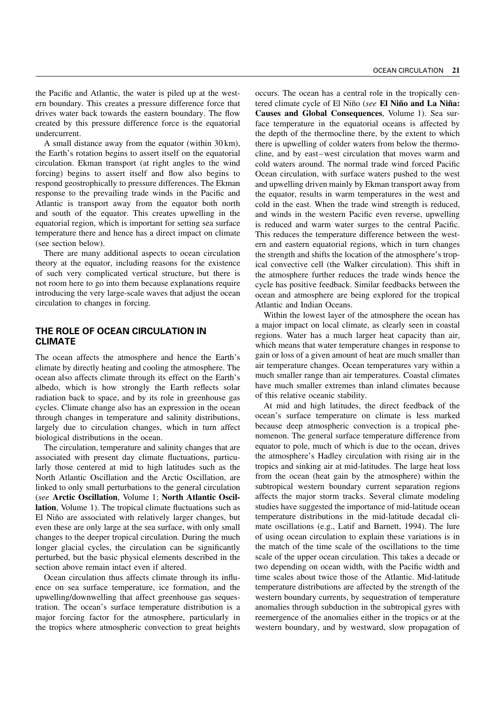the Pacific and Atlantic, the water is piled up at the western boundary. This creates a pressure difference force that drives water back towards the eastern boundary. The flow created by this pressure difference force is the equatorial undercurrent.

A small distance away from the equator (within 30 km), the Earth's rotation begins to assert itself on the equatorial circulation. Ekman transport (at right angles to the wind forcing) begins to assert itself and flow also begins to respond geostrophically to pressure differences. The Ekman response to the prevailing trade winds in the Pacific and Atlantic is transport away from the equator both north and south of the equator. This creates upwelling in the equatorial region, which is important for setting sea surface temperature there and hence has a direct impact on climate (see section below).

There are many additional aspects to ocean circulation theory at the equator, including reasons for the existence of such very complicated vertical structure, but there is not room here to go into them because explanations require introducing the very large-scale waves that adjust the ocean circulation to changes in forcing.

#### **THE ROLE OF OCEAN CIRCULATION IN CLIMATE**

The ocean affects the atmosphere and hence the Earth's climate by directly heating and cooling the atmosphere. The ocean also affects climate through its effect on the Earth's albedo, which is how strongly the Earth reflects solar radiation back to space, and by its role in greenhouse gas cycles. Climate change also has an expression in the ocean through changes in temperature and salinity distributions, largely due to circulation changes, which in turn affect biological distributions in the ocean.

The circulation, temperature and salinity changes that are associated with present day climate fluctuations, particularly those centered at mid to high latitudes such as the North Atlantic Oscillation and the Arctic Oscillation, are linked to only small perturbations to the general circulation (*see* **Arctic Oscillation**, Volume 1; **North Atlantic Oscillation**, Volume 1). The tropical climate fluctuations such as El Niño are associated with relatively larger changes, but even these are only large at the sea surface, with only small changes to the deeper tropical circulation. During the much longer glacial cycles, the circulation can be significantly perturbed, but the basic physical elements described in the section above remain intact even if altered.

Ocean circulation thus affects climate through its influence on sea surface temperature, ice formation, and the upwelling/downwelling that affect greenhouse gas sequestration. The ocean's surface temperature distribution is a major forcing factor for the atmosphere, particularly in the tropics where atmospheric convection to great heights occurs. The ocean has a central role in the tropically centered climate cycle of El Niño (see El Niño and La Niña: **Causes and Global Consequences**, Volume 1). Sea surface temperature in the equatorial oceans is affected by the depth of the thermocline there, by the extent to which there is upwelling of colder waters from below the thermocline, and by east–west circulation that moves warm and cold waters around. The normal trade wind forced Pacific Ocean circulation, with surface waters pushed to the west and upwelling driven mainly by Ekman transport away from the equator, results in warm temperatures in the west and cold in the east. When the trade wind strength is reduced, and winds in the western Pacific even reverse, upwelling is reduced and warm water surges to the central Pacific. This reduces the temperature difference between the western and eastern equatorial regions, which in turn changes the strength and shifts the location of the atmosphere's tropical convective cell (the Walker circulation). This shift in the atmosphere further reduces the trade winds hence the cycle has positive feedback. Similar feedbacks between the ocean and atmosphere are being explored for the tropical Atlantic and Indian Oceans.

Within the lowest layer of the atmosphere the ocean has a major impact on local climate, as clearly seen in coastal regions. Water has a much larger heat capacity than air, which means that water temperature changes in response to gain or loss of a given amount of heat are much smaller than air temperature changes. Ocean temperatures vary within a much smaller range than air temperatures. Coastal climates have much smaller extremes than inland climates because of this relative oceanic stability.

At mid and high latitudes, the direct feedback of the ocean's surface temperature on climate is less marked because deep atmospheric convection is a tropical phenomenon. The general surface temperature difference from equator to pole, much of which is due to the ocean, drives the atmosphere's Hadley circulation with rising air in the tropics and sinking air at mid-latitudes. The large heat loss from the ocean (heat gain by the atmosphere) within the subtropical western boundary current separation regions affects the major storm tracks. Several climate modeling studies have suggested the importance of mid-latitude ocean temperature distributions in the mid-latitude decadal climate oscillations (e.g., Latif and Barnett, 1994). The lure of using ocean circulation to explain these variations is in the match of the time scale of the oscillations to the time scale of the upper ocean circulation. This takes a decade or two depending on ocean width, with the Pacific width and time scales about twice those of the Atlantic. Mid-latitude temperature distributions are affected by the strength of the western boundary currents, by sequestration of temperature anomalies through subduction in the subtropical gyres with reemergence of the anomalies either in the tropics or at the western boundary, and by westward, slow propagation of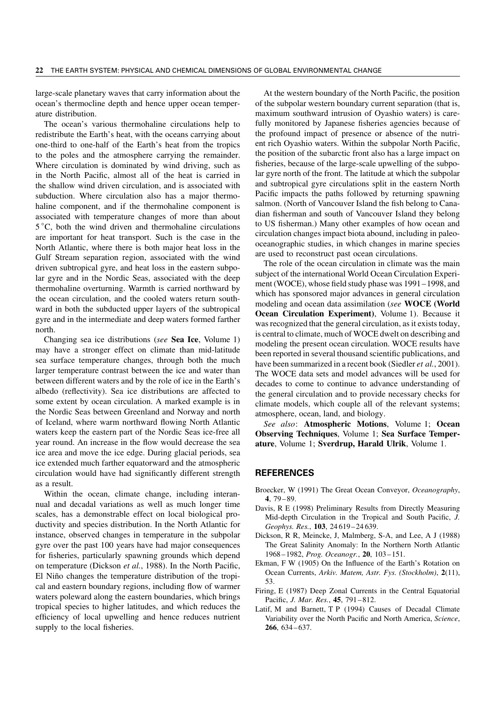large-scale planetary waves that carry information about the ocean's thermocline depth and hence upper ocean temperature distribution.

The ocean's various thermohaline circulations help to redistribute the Earth's heat, with the oceans carrying about one-third to one-half of the Earth's heat from the tropics to the poles and the atmosphere carrying the remainder. Where circulation is dominated by wind driving, such as in the North Pacific, almost all of the heat is carried in the shallow wind driven circulation, and is associated with subduction. Where circulation also has a major thermohaline component, and if the thermohaline component is associated with temperature changes of more than about 5 °C, both the wind driven and thermohaline circulations are important for heat transport. Such is the case in the North Atlantic, where there is both major heat loss in the Gulf Stream separation region, associated with the wind driven subtropical gyre, and heat loss in the eastern subpolar gyre and in the Nordic Seas, associated with the deep thermohaline overturning. Warmth is carried northward by the ocean circulation, and the cooled waters return southward in both the subducted upper layers of the subtropical gyre and in the intermediate and deep waters formed farther north.

Changing sea ice distributions (*see* **Sea Ice**, Volume 1) may have a stronger effect on climate than mid-latitude sea surface temperature changes, through both the much larger temperature contrast between the ice and water than between different waters and by the role of ice in the Earth's albedo (reflectivity). Sea ice distributions are affected to some extent by ocean circulation. A marked example is in the Nordic Seas between Greenland and Norway and north of Iceland, where warm northward flowing North Atlantic waters keep the eastern part of the Nordic Seas ice-free all year round. An increase in the flow would decrease the sea ice area and move the ice edge. During glacial periods, sea ice extended much farther equatorward and the atmospheric circulation would have had significantly different strength as a result.

Within the ocean, climate change, including interannual and decadal variations as well as much longer time scales, has a demonstrable effect on local biological productivity and species distribution. In the North Atlantic for instance, observed changes in temperature in the subpolar gyre over the past 100 years have had major consequences for fisheries, particularly spawning grounds which depend on temperature (Dickson *et al.*, 1988). In the North Pacific, El Niño changes the temperature distribution of the tropical and eastern boundary regions, including flow of warmer waters poleward along the eastern boundaries, which brings tropical species to higher latitudes, and which reduces the efficiency of local upwelling and hence reduces nutrient supply to the local fisheries.

At the western boundary of the North Pacific, the position of the subpolar western boundary current separation (that is, maximum southward intrusion of Oyashio waters) is carefully monitored by Japanese fisheries agencies because of the profound impact of presence or absence of the nutrient rich Oyashio waters. Within the subpolar North Pacific, the position of the subarctic front also has a large impact on fisheries, because of the large-scale upwelling of the subpolar gyre north of the front. The latitude at which the subpolar and subtropical gyre circulations split in the eastern North Pacific impacts the paths followed by returning spawning salmon. (North of Vancouver Island the fish belong to Canadian fisherman and south of Vancouver Island they belong to US fisherman.) Many other examples of how ocean and circulation changes impact biota abound, including in paleooceanographic studies, in which changes in marine species are used to reconstruct past ocean circulations.

The role of the ocean circulation in climate was the main subject of the international World Ocean Circulation Experiment (WOCE), whose field study phase was 1991–1998, and which has sponsored major advances in general circulation modeling and ocean data assimilation (*see* **WOCE (World Ocean Circulation Experiment)**, Volume 1). Because it was recognized that the general circulation, as it exists today, is central to climate, much of WOCE dwelt on describing and modeling the present ocean circulation. WOCE results have been reported in several thousand scientific publications, and have been summarized in a recent book (Siedler *et al.*, 2001). The WOCE data sets and model advances will be used for decades to come to continue to advance understanding of the general circulation and to provide necessary checks for climate models, which couple all of the relevant systems; atmosphere, ocean, land, and biology.

*See also*: **Atmospheric Motions**, Volume 1; **Ocean Observing Techniques**, Volume 1; **Sea Surface Temperature**, Volume 1; **Sverdrup, Harald Ulrik**, Volume 1.

#### **REFERENCES**

- Broecker, W (1991) The Great Ocean Conveyor, *Oceanography*, **4**, 79–89.
- Davis, R E (1998) Preliminary Results from Directly Measuring Mid-depth Circulation in the Tropical and South Pacific, *J. Geophys. Res.*, **103**, 24 619–24 639.
- Dickson, R R, Meincke, J, Malmberg, S-A, and Lee, A J (1988) The Great Salinity Anomaly: In the Northern North Atlantic 1968–1982, *Prog. Oceanogr.*, **20**, 103–151.
- Ekman, F W (1905) On the Influence of the Earth's Rotation on Ocean Currents, *Arkiv. Matem, Astr. Fys. (Stockholm)*, **2**(11), 53.
- Firing, E (1987) Deep Zonal Currents in the Central Equatorial Pacific, *J. Mar. Res.*, **45**, 791–812.
- Latif, M and Barnett, T P (1994) Causes of Decadal Climate Variability over the North Pacific and North America, *Science*, **266**, 634–637.